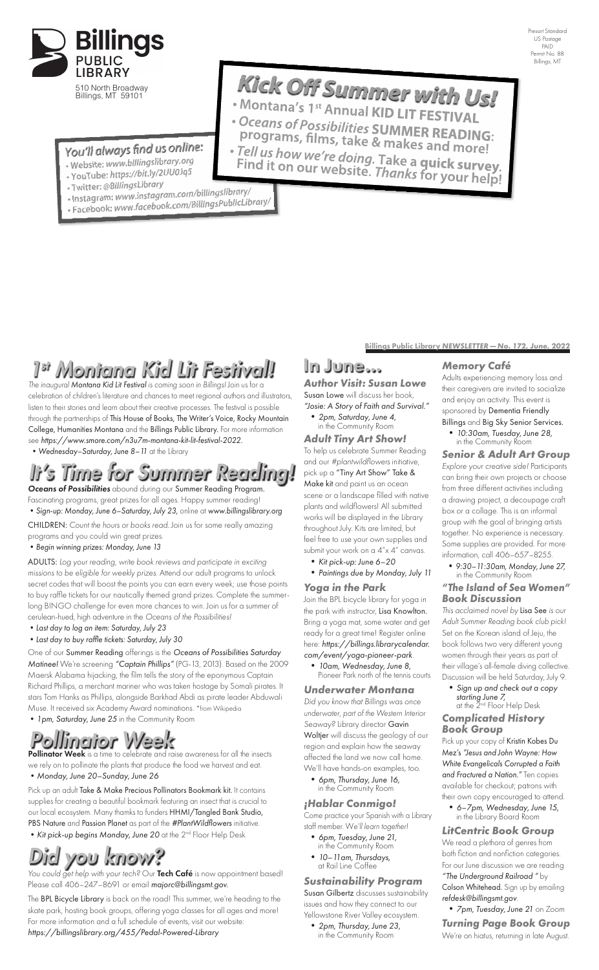Presort Standard US Postage PAID Permit No. 88 Billings, MT

Billings Public Library *NEWSLETTER—No. 172, June, 2022*

## In June…

*Author Visit: Susan Lowe* Susan Lowe will discuss her book, *"Josie: A Story of Faith and Survival."*

 **•** *2pm, Saturday, June 4,* in the Community Room

### *Adult Tiny Art Show!*

To help us celebrate Summer Reading and our *#plantwildflowers* initiative, pick up a "Tiny Art Show" Take & Make kit and paint us an ocean scene or a landscape filled with native plants and wildflowers! All submitted works will be displayed in the Library throughout July. Kits are limited, but feel free to use your own supplies and submit your work on a 4"x 4" canvas.

- **•** *Kit pick-up: June 6–20*
- **•** *Paintings due by Monday, July 11*

### *Yoga in the Park*

Join the BPL bicycle library for yoga in the park with instructor, Lisa Knowlton. Bring a yoga mat, some water and get ready for a great time! Register online here: *https://billings.librarycalendar. com/event/yoga-pioneer-park*.

- **•** *10am, Wednesday, June 8,*
	- Pioneer Park north of the tennis courts

#### *Underwater Montana*

*Did you know that Billings was once underwater, part of the Western Interior Seaway?* Library director Gavin Woltjer will discuss the geology of our region and explain how the seaway affected the land we now call home. We'll have hands-on examples, too.

 **•** *6pm, Thursday, June 16,* in the Community Room

## *¡Hablar Conmigo!*

 **•** *Sign up and check out a copy starting June 7,* at the 2<sup>nd</sup> Floor Help Desk

Come practice your Spanish with a Library staff member. W*e'll learn together!*

- **•** *6pm, Tuesday, June 21,* in the Community Room
- **•** *10–11am, Thursdays,*  at Rail Line Coffee

*Sustainability Program* Susan Gilbertz discusses sustainability issues and how they connect to our Yellowstone River Valley ecosystem.

 **•** *2pm, Thursday, June 23,* in the Community Room



510 North Broadway Billings, MT 59101

## You'll always find us online:

- Website: www.billingslibrary.org
- Website: www.community.com
- · Twitter: @BillingsLibrary
- 
- · Instagram: www.instagram.com/onlingshord.ry/<br>· Facebook: www.facebook.com/BillingsPublicLibrary/

### *Memory Café*

Adults experiencing memory loss and their caregivers are invited to socialize and enjoy an activity. This event is sponsored by Dementia Friendly Billings and Big Sky Senior Services.

 **•** *10:30am, Tuesday, June 28,* in the Community Room

### *Senior & Adult Art Group*

*Explore your creative side!* Participants can bring their own projects or choose from three different activities including a drawing project, a decoupage craft box or a collage. This is an informal group with the goal of bringing artists together. No experience is necessary. Some supplies are provided. For more information, call 406–657–8255.

The BPL Bicycle Library is back on the road! This summer, we're heading to the skate park, hosting book groups, offering yoga classes for all ages and more! For more information and a full schedule of events, visit our website: *https://billingslibrary.org/455/Pedal-Powered-Library*

 **•** *9:30–11:30am, Monday, June 27,* in the Community Room

#### *"The Island of Sea Women" Book Discussion*

*This acclaimed novel by* Lisa See *is our Adult Summer Reading book club pick!*  Set on the Korean island of Jeju, the book follows two very different young women through their years as part of their village's all-female diving collective. Discussion will be held Saturday, July 9.

#### *Complicated History Book Group*

Pick up your copy of Kristin Kobes Du Mez's *"Jesus and John Wayne: How White Evangelicals Corrupted a Faith and Fractured a Nation."* Ten copies available for checkout; patrons with their own copy encouraged to attend.

**Pollinator Week** is a time to celebrate and raise awareness for all the insects we rely on to pollinate the plants that produce the food we harvest and eat. **•***Monday, June 20–Sunday, June 26*

> **•** *6–7pm, Wednesday, June 15,* in the Library Board Room

## *LitCentric Book Group*

Pick up an adult Take & Make Precious Pollinators Bookmark kit. It contains supplies for creating a beautiful bookmark featuring an insect that is crucial to our local ecosystem. Many thamks to funders HHMI/Tangled Bank Studio, PBS Nature and Passion Planet as part of the *#PlantWildflowers* initiative. **•***Kit pick-up begins Monday, June 20* at the 2nd Floor Help Desk

- **• •** WONTANA's 1<sup>st</sup> Annual **KID** LIT **FESTIVAL**
- **Oc pro e g an ra s m of s, P fi ossibilities SUMMER READING: Programs, films, take & makes and more!**<br>• Tell us how wa're daid = = -
- **F** ell us how we're doing. Take a **quick survey.**<br>ind it on our website. Thanks for your help!

We read a plethora of genres from both fiction and nonfiction categories. For our June discussion we are reading *"The Underground Railroad "* by Colson Whitehead. Sign up by emailing *refdesk@billingsmt.gov*.

 **•** *7pm, Tuesday, June 21* on Zoom *Turning Page Book Group* We're on hiatus, returning in late August.

# *1st Montana Kid Lit Festival!*

# *Did you know?*

*The inaugural Montana Kid Lit Festival is coming soon in Billings!* Join us for a celebration of children's literature and chances to meet regional authors and illustrators, listen to their stories and learn about their creative processes. The festival is possible through the partnerships of This House of Books, The Writer's Voice, Rocky Mountain College, Humanities Montana and the Billings Public Library. For more information see *https://www.smore.com/n3u7m-montana-kit-lit-festival-2022.*

 **•***Wednesday–Saturday, June 8–11* at the Library

*You could get help with your tech?* Our Tech Café is now appointment based! Please call 406–247–8691 or email *majorc@billingsmt.gov.*

# *It's Time for Summer Reading!*

*Pollinator Week*

*Oceans of Possibilities* abound during our Summer Reading Program. Fascinating programs, great prizes for all ages. Happy summer reading! **•***Sign-up: Monday, June 6–Saturday, July 23,* online at *www.billingslibrary.org*

CHILDREN: *Count the hours or books read.* Join us for some really amazing programs and you could win great prizes.

#### **•***Begin winning prizes: Monday, June 13*

ADULTS: *Log your reading, write book reviews and participate in exciting missions to be eligible for weekly prizes*. Attend our adult programs to unlock secret codes that will boost the points you can earn every week; use those points to buy raffle tickets for our nautically themed grand prizes. Complete the summerlong BINGO challenge for even more chances to win. Join us for a summer of cerulean-hued, high adventure in the *Oceans of the Possibilities!* 

- **•***Last day to log an item: Saturday, July 23*
- **•***Last day to buy raffle tickets: Saturday, July 30*

#### One of our Summer Reading offerings is the *Oceans of Possibilities Saturday Matinee!* We're screening *"Captain Phillips"* (PG-13, 2013). Based on the 2009 Maersk Alabama hijacking, the film tells the story of the eponymous Captain Richard Phillips, a merchant mariner who was taken hostage by Somali pirates. It stars Tom Hanks as Phillips, alongside Barkhad Abdi as pirate leader Abduwali Muse. It received six Academy Award nominations. \*from Wikipedia

**•***1pm, Saturday, June 25* in the Community Room

## **K Mo ick Off Summer with Us! ntana's <sup>1</sup>st**